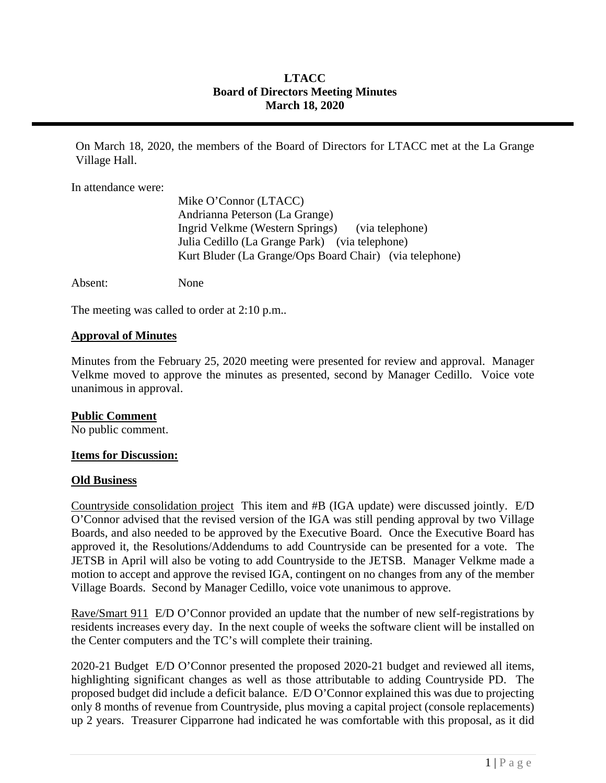# **LTACC Board of Directors Meeting Minutes March 18, 2020**

On March 18, 2020, the members of the Board of Directors for LTACC met at the La Grange Village Hall.

In attendance were:

| Mike O'Connor (LTACC)                                   |
|---------------------------------------------------------|
| Andrianna Peterson (La Grange)                          |
| Ingrid Velkme (Western Springs) (via telephone)         |
| Julia Cedillo (La Grange Park) (via telephone)          |
| Kurt Bluder (La Grange/Ops Board Chair) (via telephone) |
|                                                         |

Absent: None

The meeting was called to order at 2:10 p.m..

# **Approval of Minutes**

Minutes from the February 25, 2020 meeting were presented for review and approval. Manager Velkme moved to approve the minutes as presented, second by Manager Cedillo. Voice vote unanimous in approval.

# **Public Comment**

No public comment.

# **Items for Discussion:**

#### **Old Business**

Countryside consolidation project This item and #B (IGA update) were discussed jointly. E/D O'Connor advised that the revised version of the IGA was still pending approval by two Village Boards, and also needed to be approved by the Executive Board. Once the Executive Board has approved it, the Resolutions/Addendums to add Countryside can be presented for a vote. The JETSB in April will also be voting to add Countryside to the JETSB. Manager Velkme made a motion to accept and approve the revised IGA, contingent on no changes from any of the member Village Boards. Second by Manager Cedillo, voice vote unanimous to approve.

Rave/Smart 911 E/D O'Connor provided an update that the number of new self-registrations by residents increases every day. In the next couple of weeks the software client will be installed on the Center computers and the TC's will complete their training.

2020-21 Budget E/D O'Connor presented the proposed 2020-21 budget and reviewed all items, highlighting significant changes as well as those attributable to adding Countryside PD. The proposed budget did include a deficit balance. E/D O'Connor explained this was due to projecting only 8 months of revenue from Countryside, plus moving a capital project (console replacements) up 2 years. Treasurer Cipparrone had indicated he was comfortable with this proposal, as it did